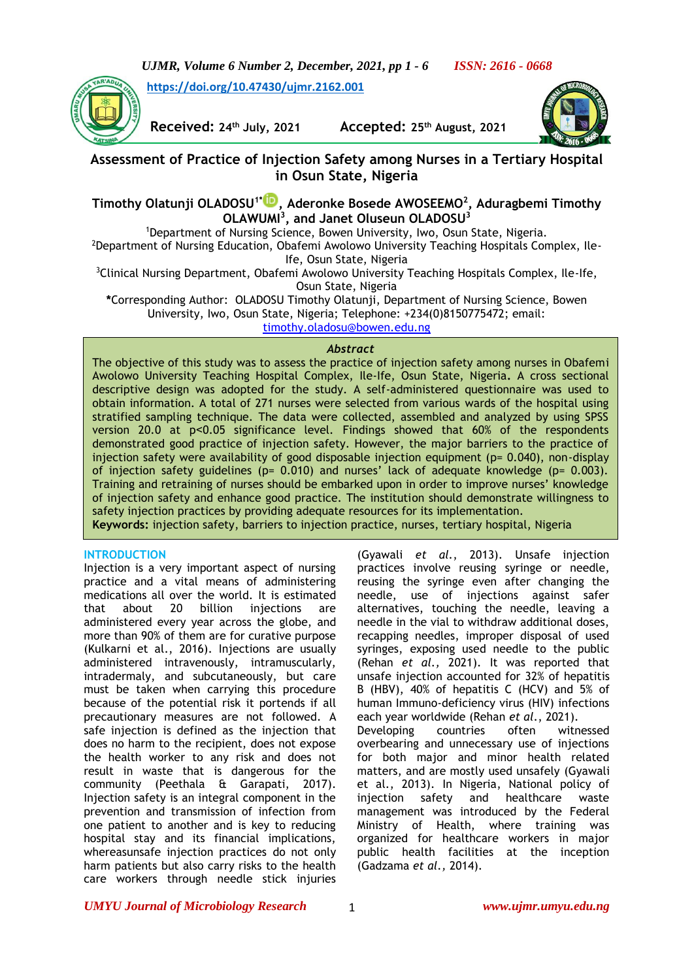*UJMR, Volume 6 Number 2, December, 2021, pp 1 - 6 ISSN: 2616 - 0668*

**<https://doi.org/10.47430/ujmr.2162.001>**



**Received: 24th July, 2021 Accepted: 25th August, 2021**



# **Assessment of Practice of Injection Safety among Nurses in a Tertiary Hospital in Osun State, Nigeria**

## **Timothy Olatunji OLADOSU1\* [,](https://orcid.org/0000-0001-7594-3933) Aderonke Bosede AWOSEEMO<sup>2</sup> , Aduragbemi Timothy OLAWUMI<sup>3</sup> , and Janet Oluseun OLADOSU<sup>3</sup>**

<sup>1</sup>Department of Nursing Science, Bowen University, Iwo, Osun State, Nigeria.

<sup>2</sup>Department of Nursing Education, Obafemi Awolowo University Teaching Hospitals Complex, Ile-Ife, Osun State, Nigeria

<sup>3</sup>Clinical Nursing Department, Obafemi Awolowo University Teaching Hospitals Complex, Ile-Ife, Osun State, Nigeria

**\***Corresponding Author: OLADOSU Timothy Olatunji, Department of Nursing Science, Bowen University, Iwo, Osun State, Nigeria; Telephone: +234(0)8150775472; email:

[timothy.oladosu@bowen.edu.ng](mailto:timothy.oladosu@bowen.edu.ng)

#### *Abstract*

The objective of this study was to assess the practice of injection safety among nurses in Obafemi Awolowo University Teaching Hospital Complex, Ile-Ife, Osun State, Nigeria**.** A cross sectional descriptive design was adopted for the study. A self-administered questionnaire was used to obtain information. A total of 271 nurses were selected from various wards of the hospital using stratified sampling technique. The data were collected, assembled and analyzed by using SPSS version 20.0 at p˂0.05 significance level. Findings showed that 60% of the respondents demonstrated good practice of injection safety. However, the major barriers to the practice of injection safety were availability of good disposable injection equipment (p= 0.040), non-display of injection safety guidelines (p=  $0.010$ ) and nurses' lack of adequate knowledge (p=  $0.003$ ). Training and retraining of nurses should be embarked upon in order to improve nurses' knowledge of injection safety and enhance good practice. The institution should demonstrate willingness to safety injection practices by providing adequate resources for its implementation. **Keywords:** injection safety, barriers to injection practice, nurses, tertiary hospital, Nigeria

#### **INTRODUCTION**

Injection is a very important aspect of nursing practice and a vital means of administering medications all over the world. It is estimated that about 20 billion injections are administered every year across the globe, and more than 90% of them are for curative purpose (Kulkarni et al., 2016). Injections are usually administered intravenously, intramuscularly, intradermaly, and subcutaneously, but care must be taken when carrying this procedure because of the potential risk it portends if all precautionary measures are not followed. A safe injection is defined as the injection that does no harm to the recipient, does not expose the health worker to any risk and does not result in waste that is dangerous for the community (Peethala & Garapati, 2017). Injection safety is an integral component in the prevention and transmission of infection from one patient to another and is key to reducing hospital stay and its financial implications, whereasunsafe injection practices do not only harm patients but also carry risks to the health care workers through needle stick injuries

(Gyawali *et al.*, 2013). Unsafe injection practices involve reusing syringe or needle, reusing the syringe even after changing the needle, use of injections against safer alternatives, touching the needle, leaving a needle in the vial to withdraw additional doses, recapping needles, improper disposal of used syringes, exposing used needle to the public (Rehan *et al.,* 2021). It was reported that unsafe injection accounted for 32% of hepatitis B (HBV), 40% of hepatitis C (HCV) and 5% of human Immuno-deficiency virus (HIV) infections each year worldwide (Rehan *et al*., 2021). Developing countries often witnessed overbearing and unnecessary use of injections for both major and minor health related matters, and are mostly used unsafely (Gyawali et al., 2013). In Nigeria, National policy of injection safety and healthcare waste management was introduced by the Federal Ministry of Health, where training was organized for healthcare workers in major public health facilities at the inception (Gadzama *et al.,* 2014).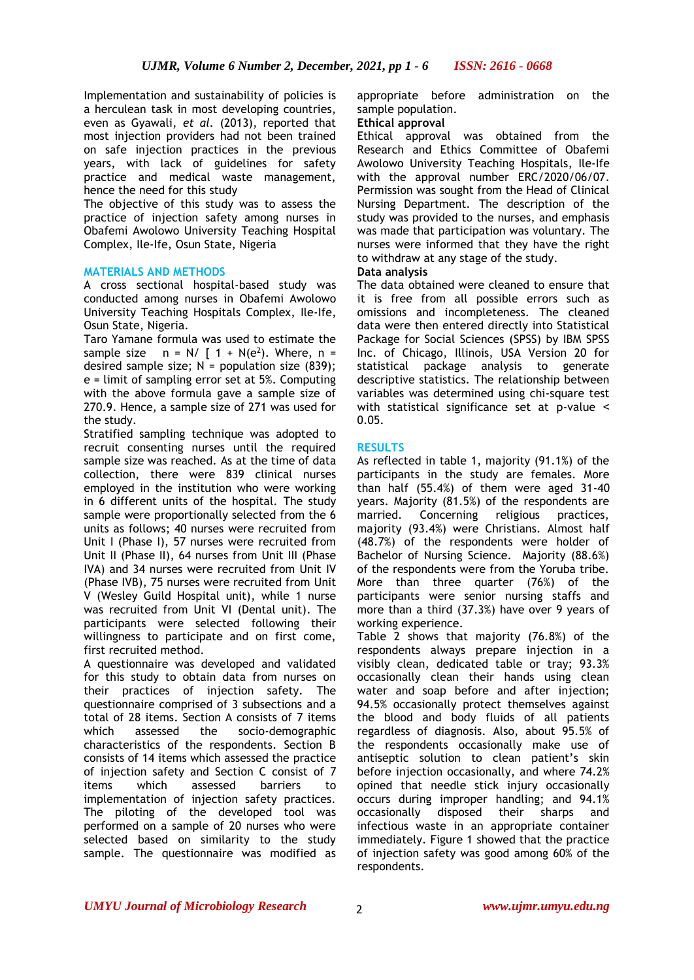Implementation and sustainability of policies is a herculean task in most developing countries, even as Gyawali, *et al.* (2013), reported that most injection providers had not been trained on safe injection practices in the previous years, with lack of guidelines for safety practice and medical waste management, hence the need for this study

The objective of this study was to assess the practice of injection safety among nurses in Obafemi Awolowo University Teaching Hospital Complex, Ile-Ife, Osun State, Nigeria

### **MATERIALS AND METHODS**

A cross sectional hospital-based study was conducted among nurses in Obafemi Awolowo University Teaching Hospitals Complex, Ile-Ife, Osun State, Nigeria.

Taro Yamane formula was used to estimate the sample size  $n = N / [1 + N(e^2)]$ . Where,  $n =$ desired sample size;  $N =$  population size (839); e = limit of sampling error set at 5%. Computing with the above formula gave a sample size of 270.9. Hence, a sample size of 271 was used for the study.

Stratified sampling technique was adopted to recruit consenting nurses until the required sample size was reached. As at the time of data collection, there were 839 clinical nurses employed in the institution who were working in 6 different units of the hospital. The study sample were proportionally selected from the 6 units as follows; 40 nurses were recruited from Unit I (Phase I), 57 nurses were recruited from Unit II (Phase II), 64 nurses from Unit III (Phase IVA) and 34 nurses were recruited from Unit IV (Phase IVB), 75 nurses were recruited from Unit V (Wesley Guild Hospital unit), while 1 nurse was recruited from Unit VI (Dental unit). The participants were selected following their willingness to participate and on first come, first recruited method.

A questionnaire was developed and validated for this study to obtain data from nurses on their practices of injection safety. The questionnaire comprised of 3 subsections and a total of 28 items. Section A consists of 7 items which assessed the socio-demographic characteristics of the respondents. Section B consists of 14 items which assessed the practice of injection safety and Section C consist of 7 items which assessed barriers to implementation of injection safety practices. The piloting of the developed tool was performed on a sample of 20 nurses who were selected based on similarity to the study sample. The questionnaire was modified as

appropriate before administration on the sample population.

#### **Ethical approval**

Ethical approval was obtained from the Research and Ethics Committee of Obafemi Awolowo University Teaching Hospitals, Ile-Ife with the approval number ERC/2020/06/07. Permission was sought from the Head of Clinical Nursing Department. The description of the study was provided to the nurses, and emphasis was made that participation was voluntary. The nurses were informed that they have the right to withdraw at any stage of the study.

#### **Data analysis**

The data obtained were cleaned to ensure that it is free from all possible errors such as omissions and incompleteness. The cleaned data were then entered directly into Statistical Package for Social Sciences (SPSS) by IBM SPSS Inc. of Chicago, Illinois, USA Version 20 for statistical package analysis to generate descriptive statistics. The relationship between variables was determined using chi-square test with statistical significance set at p-value < 0.05.

#### **RESULTS**

As reflected in table 1, majority (91.1%) of the participants in the study are females. More than half (55.4%) of them were aged 31-40 years. Majority (81.5%) of the respondents are married. Concerning religious practices, majority (93.4%) were Christians. Almost half (48.7%) of the respondents were holder of Bachelor of Nursing Science. Majority (88.6%) of the respondents were from the Yoruba tribe. More than three quarter (76%) of the participants were senior nursing staffs and more than a third (37.3%) have over 9 years of working experience.

Table 2 shows that majority (76.8%) of the respondents always prepare injection in a visibly clean, dedicated table or tray; 93.3% occasionally clean their hands using clean water and soap before and after injection; 94.5% occasionally protect themselves against the blood and body fluids of all patients regardless of diagnosis. Also, about 95.5% of the respondents occasionally make use of antiseptic solution to clean patient's skin before injection occasionally, and where 74.2% opined that needle stick injury occasionally occurs during improper handling; and 94.1% occasionally disposed their sharps and infectious waste in an appropriate container immediately. Figure 1 showed that the practice of injection safety was good among 60% of the respondents.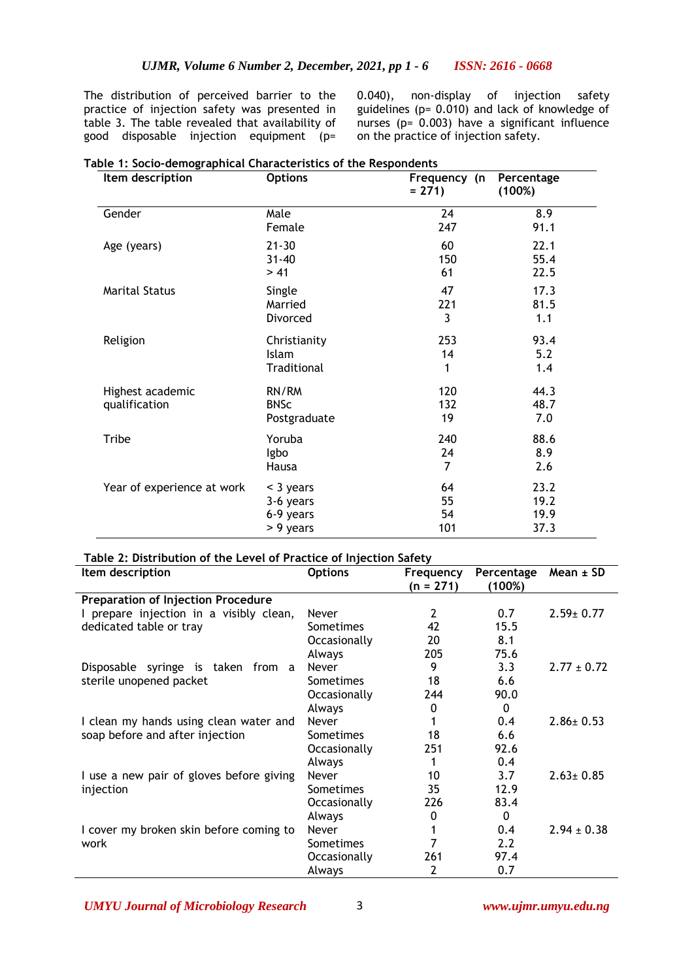The distribution of perceived barrier to the practice of injection safety was presented in table 3. The table revealed that availability of good disposable injection equipment (p=

0.040), non-display of injection safety guidelines (p= 0.010) and lack of knowledge of nurses (p= 0.003) have a significant influence on the practice of injection safety.

| Item description                  | <b>Options</b>                       | Frequency (n<br>$= 271$ | Percentage<br>(100%) |  |
|-----------------------------------|--------------------------------------|-------------------------|----------------------|--|
| Gender                            | Male                                 | 24                      | 8.9                  |  |
|                                   | Female                               | 247                     | 91.1                 |  |
| Age (years)                       | $21 - 30$                            | 60                      | 22.1                 |  |
|                                   | $31 - 40$                            | 150                     | 55.4                 |  |
|                                   | > 41                                 | 61                      | 22.5                 |  |
| <b>Marital Status</b>             | Single                               | 47                      | 17.3                 |  |
|                                   | Married                              | 221                     | 81.5                 |  |
|                                   | Divorced                             | 3                       | 1.1                  |  |
| Religion                          | Christianity                         | 253                     | 93.4                 |  |
|                                   | Islam                                | 14                      | 5.2                  |  |
|                                   | Traditional                          | 1                       | 1.4                  |  |
| Highest academic<br>qualification | RN/RM<br><b>BNSc</b><br>Postgraduate | 120<br>132<br>19        | 44.3<br>48.7<br>7.0  |  |
| <b>Tribe</b>                      | Yoruba                               | 240                     | 88.6                 |  |
|                                   | Igbo                                 | 24                      | 8.9                  |  |
|                                   | Hausa                                | 7                       | 2.6                  |  |
| Year of experience at work        | < 3 years                            | 64                      | 23.2                 |  |
|                                   | 3-6 years                            | 55                      | 19.2                 |  |
|                                   | 6-9 years                            | 54                      | 19.9                 |  |
|                                   | > 9 years                            | 101                     | 37.3                 |  |

# **Table 1: Socio-demographical Characteristics of the Respondents**

#### **Table 2: Distribution of the Level of Practice of Injection Safety**

| Item description                          | <b>Options</b>   | Frequency   | Percentage | $Mean \pm SD$   |
|-------------------------------------------|------------------|-------------|------------|-----------------|
|                                           |                  | $(n = 271)$ | (100%)     |                 |
| <b>Preparation of Injection Procedure</b> |                  |             |            |                 |
| I prepare injection in a visibly clean,   | <b>Never</b>     | 2           | 0.7        | $2.59 \pm 0.77$ |
| dedicated table or tray                   | <b>Sometimes</b> | 42          | 15.5       |                 |
|                                           | Occasionally     | 20          | 8.1        |                 |
|                                           | Always           | 205         | 75.6       |                 |
| Disposable syringe is taken from a        | Never            | 9           | 3.3        | $2.77 \pm 0.72$ |
| sterile unopened packet                   | <b>Sometimes</b> | 18          | 6.6        |                 |
|                                           | Occasionally     | 244         | 90.0       |                 |
|                                           | Always           | 0           | $\Omega$   |                 |
| I clean my hands using clean water and    | <b>Never</b>     |             | 0.4        | $2.86 \pm 0.53$ |
| soap before and after injection           | <b>Sometimes</b> | 18          | 6.6        |                 |
|                                           | Occasionally     | 251         | 92.6       |                 |
|                                           | Always           | 1           | 0.4        |                 |
| I use a new pair of gloves before giving  | Never            | 10          | 3.7        | $2.63 \pm 0.85$ |
| injection                                 | <b>Sometimes</b> | 35          | 12.9       |                 |
|                                           | Occasionally     | 226         | 83.4       |                 |
|                                           | Always           | 0           | $\Omega$   |                 |
| I cover my broken skin before coming to   | Never            |             | 0.4        | $2.94 \pm 0.38$ |
| work                                      | <b>Sometimes</b> |             | 2.2        |                 |
|                                           | Occasionally     | 261         | 97.4       |                 |
|                                           | Always           | 2           | 0.7        |                 |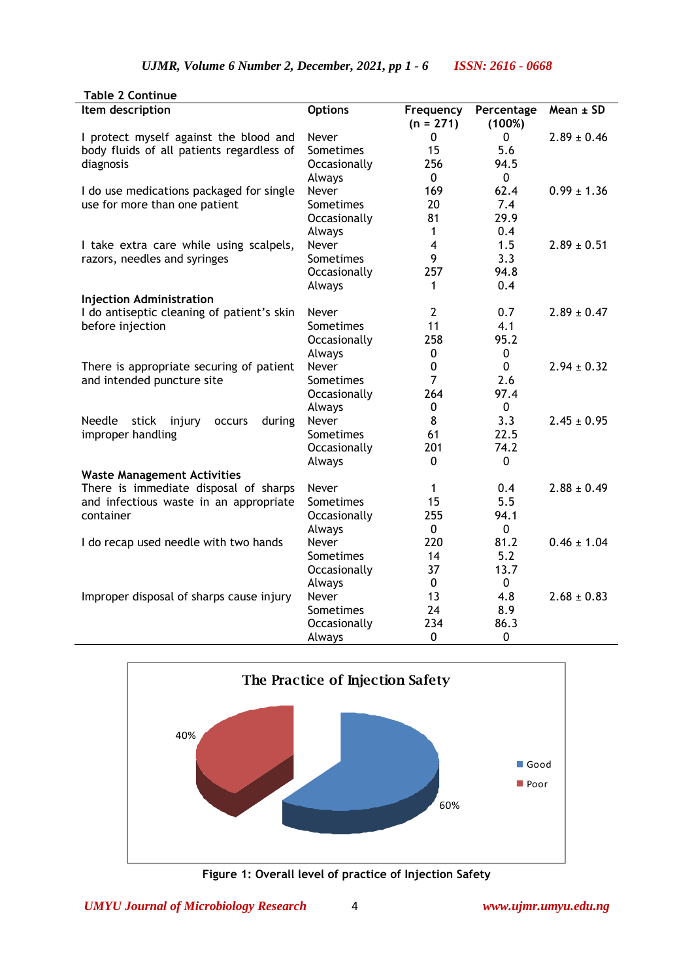| <b>Table 2 Continue</b>                              |                  |                          |                      |                 |
|------------------------------------------------------|------------------|--------------------------|----------------------|-----------------|
| Item description                                     | <b>Options</b>   | Frequency<br>$(n = 271)$ | Percentage<br>(100%) | $Mean \pm SD$   |
| I protect myself against the blood and               | Never            | 0                        | 0                    | $2.89 \pm 0.46$ |
| body fluids of all patients regardless of            | Sometimes        | 15                       | 5.6                  |                 |
| diagnosis                                            | Occasionally     | 256                      | 94.5                 |                 |
|                                                      | Always           | $\mathbf 0$              | 0                    |                 |
| I do use medications packaged for single             | Never            | 169                      | 62.4                 | $0.99 \pm 1.36$ |
| use for more than one patient                        | Sometimes        | 20                       | 7.4                  |                 |
|                                                      | Occasionally     | 81                       | 29.9                 |                 |
|                                                      | Always           | $\mathbf{1}$             | 0.4                  |                 |
| I take extra care while using scalpels,              | Never            | $\overline{\mathbf{4}}$  | 1.5                  | $2.89 \pm 0.51$ |
| razors, needles and syringes                         | Sometimes        | 9                        | 3.3                  |                 |
|                                                      | Occasionally     | 257                      | 94.8                 |                 |
|                                                      | Always           | 1                        | 0.4                  |                 |
| <b>Injection Administration</b>                      |                  |                          |                      |                 |
| I do antiseptic cleaning of patient's skin           | Never            | $\overline{2}$           | 0.7                  | $2.89 \pm 0.47$ |
| before injection                                     | Sometimes        | 11                       | 4.1                  |                 |
|                                                      | Occasionally     | 258                      | 95.2                 |                 |
|                                                      | Always           | $\mathbf 0$              | 0                    |                 |
| There is appropriate securing of patient             | Never            | $\mathbf 0$              | 0                    | $2.94 \pm 0.32$ |
| and intended puncture site                           | Sometimes        | $\overline{7}$           | 2.6                  |                 |
|                                                      | Occasionally     | 264                      | 97.4                 |                 |
|                                                      | Always           | 0                        | 0                    |                 |
| Needle<br>stick<br>injury<br>during<br><b>OCCULS</b> | Never            | 8                        | 3.3                  | $2.45 \pm 0.95$ |
| improper handling                                    | Sometimes        | 61                       | 22.5                 |                 |
|                                                      | Occasionally     | 201                      | 74.2                 |                 |
|                                                      | Always           | $\Omega$                 | 0                    |                 |
| <b>Waste Management Activities</b>                   |                  |                          |                      |                 |
| There is immediate disposal of sharps                | Never            | $\mathbf{1}$             | 0.4                  | $2.88 \pm 0.49$ |
| and infectious waste in an appropriate               | <b>Sometimes</b> | 15                       | 5.5                  |                 |
| container                                            | Occasionally     | 255                      | 94.1                 |                 |
|                                                      | Always           | $\mathbf 0$              | 0                    |                 |
| I do recap used needle with two hands                | Never            | 220                      | 81.2                 | $0.46 \pm 1.04$ |
|                                                      | Sometimes        | 14                       | 5.2                  |                 |
|                                                      | Occasionally     | 37                       | 13.7                 |                 |
|                                                      | Always           | $\mathbf 0$              | 0                    |                 |
| Improper disposal of sharps cause injury             | Never            | 13                       | 4.8                  | $2.68 \pm 0.83$ |
|                                                      | Sometimes        | 24                       | 8.9                  |                 |
|                                                      | Occasionally     | 234                      | 86.3                 |                 |
|                                                      | Always           | $\Omega$                 | 0                    |                 |



**Figure 1: Overall level of practice of Injection Safety**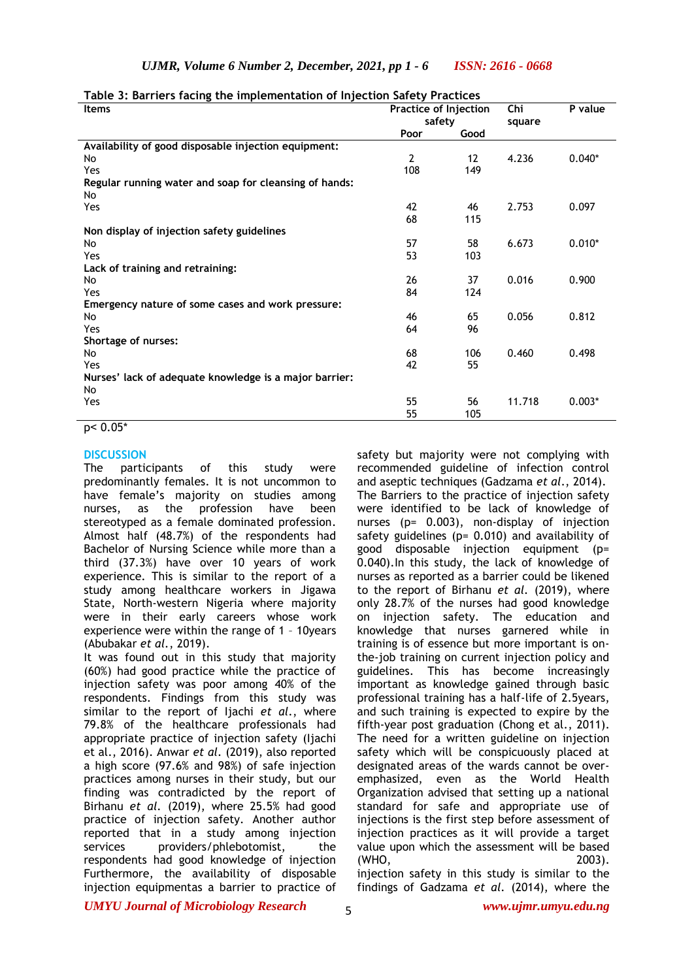| <b>Items</b>                                           | Practice of Injection | .,                | Chi    | P value  |
|--------------------------------------------------------|-----------------------|-------------------|--------|----------|
|                                                        | safety                |                   | square |          |
|                                                        | Poor                  | Good              |        |          |
| Availability of good disposable injection equipment:   |                       |                   |        |          |
| No                                                     | $\mathbf{2}$          | $12 \overline{ }$ | 4.236  | $0.040*$ |
| Yes                                                    | 108                   | 149               |        |          |
| Regular running water and soap for cleansing of hands: |                       |                   |        |          |
| No                                                     |                       |                   |        |          |
| Yes                                                    | 42                    | 46                | 2.753  | 0.097    |
|                                                        | 68                    | 115               |        |          |
| Non display of injection safety guidelines             |                       |                   |        |          |
| No                                                     | 57                    | 58                | 6.673  | $0.010*$ |
| Yes                                                    | 53                    | 103               |        |          |
| Lack of training and retraining:                       |                       |                   |        |          |
| No                                                     | 26                    | 37                | 0.016  | 0.900    |
| Yes                                                    | 84                    | 124               |        |          |
| Emergency nature of some cases and work pressure:      |                       |                   |        |          |
| No                                                     | 46                    | 65                | 0.056  | 0.812    |
| Yes                                                    | 64                    | 96                |        |          |
| Shortage of nurses:                                    |                       |                   |        |          |
| No                                                     | 68                    | 106               | 0.460  | 0.498    |
| Yes                                                    | 42                    | 55                |        |          |
| Nurses' lack of adequate knowledge is a major barrier: |                       |                   |        |          |
| No                                                     |                       |                   |        |          |
| Yes                                                    | 55                    | 56                | 11.718 | $0.003*$ |
|                                                        | 55                    | 105               |        |          |

**Table 3: Barriers facing the implementation of Injection Safety Practices**

p˂ 0.05\*

#### **DISCUSSION**

The participants of this study were predominantly females. It is not uncommon to have female's majority on studies among nurses, as the profession have been stereotyped as a female dominated profession. Almost half (48.7%) of the respondents had Bachelor of Nursing Science while more than a third (37.3%) have over 10 years of work experience. This is similar to the report of a study among healthcare workers in Jigawa State, North-western Nigeria where majority were in their early careers whose work experience were within the range of 1 – 10years (Abubakar *et al.*, 2019).

It was found out in this study that majority (60%) had good practice while the practice of injection safety was poor among 40% of the respondents. Findings from this study was similar to the report of Ijachi *et al*., where 79.8% of the healthcare professionals had appropriate practice of injection safety (Ijachi et al., 2016). Anwar *et al.* (2019), also reported a high score (97.6% and 98%) of safe injection practices among nurses in their study, but our finding was contradicted by the report of Birhanu *et al.* (2019), where 25.5% had good practice of injection safety. Another author reported that in a study among injection services providers/phlebotomist, the respondents had good knowledge of injection Furthermore, the availability of disposable injection equipmentas a barrier to practice of

safety but majority were not complying with recommended guideline of infection control and aseptic techniques (Gadzama *et al*., 2014). The Barriers to the practice of injection safety were identified to be lack of knowledge of nurses (p= 0.003), non-display of injection safety guidelines ( $p= 0.010$ ) and availability of good disposable injection equipment (p= 0.040).In this study, the lack of knowledge of nurses as reported as a barrier could be likened to the report of Birhanu *et al.* (2019), where only 28.7% of the nurses had good knowledge on injection safety. The education and knowledge that nurses garnered while in training is of essence but more important is onthe-job training on current injection policy and guidelines. This has become increasingly important as knowledge gained through basic professional training has a half-life of 2.5years, and such training is expected to expire by the fifth-year post graduation (Chong et al., 2011). The need for a written guideline on injection safety which will be conspicuously placed at designated areas of the wards cannot be overemphasized, even as the World Health Organization advised that setting up a national standard for safe and appropriate use of injections is the first step before assessment of injection practices as it will provide a target value upon which the assessment will be based (WHO, 2003).

injection safety in this study is similar to the findings of Gadzama *et al.* (2014), where the

*UMYU Journal of Microbiology Research www.ujmr.umyu.edu.ng*